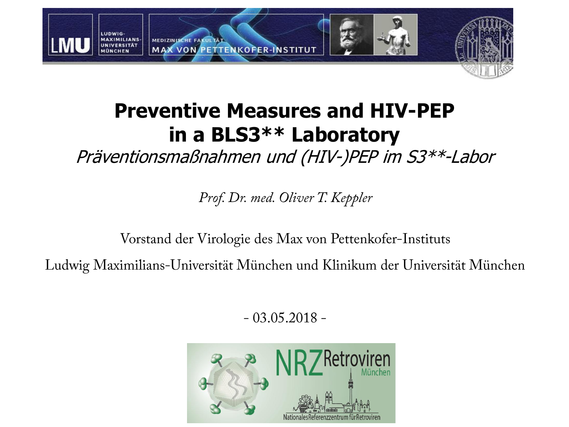

### **Preventive Measures and HIV-PEP in a BLS3\*\* Laboratory**

Präventionsmaßnahmen und (HIV-)PEP im S3\*\*-Labor

Prof. Dr. med. Oliver T. Keppler

Vorstand der Virologie des Max von Pettenkofer-Instituts

Ludwig Maximilians-Universität München und Klinikum der Universität München

 $-03.05.2018 -$ 

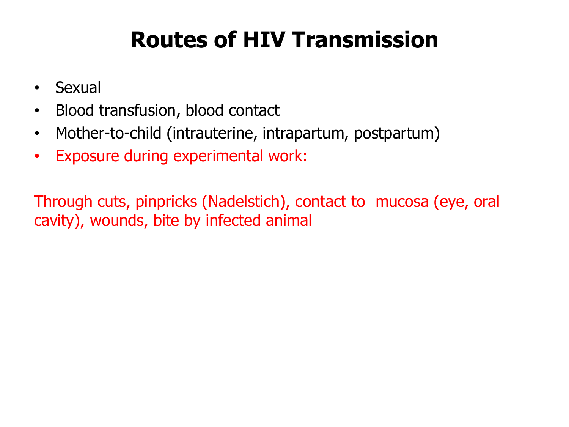# **Routes of HIV Transmission**

- Sexual
- Blood transfusion, blood contact
- Mother-to-child (intrauterine, intrapartum, postpartum)
- Exposure during experimental work:

Through cuts, pinpricks (Nadelstich), contact to mucosa (eye, oral cavity), wounds, bite by infected animal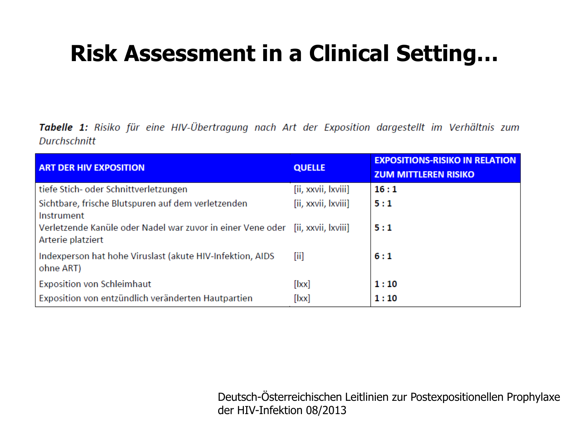# **Risk Assessment in a Clinical Setting…**

Tabelle 1: Risiko für eine HIV-Übertragung nach Art der Exposition dargestellt im Verhältnis zum **Durchschnitt** 

| <b>ART DER HIV EXPOSITION</b>                                                                       | <b>QUELLE</b>       | <b>EXPOSITIONS-RISIKO IN RELATION</b><br><b>ZUM MITTLEREN RISIKO</b> |
|-----------------------------------------------------------------------------------------------------|---------------------|----------------------------------------------------------------------|
| tiefe Stich- oder Schnittverletzungen                                                               | [ii, xxvii, lxviii] | 16:1                                                                 |
| Sichtbare, frische Blutspuren auf dem verletzenden<br>Instrument                                    | [ii, xxvii, lxviii] | 5:1                                                                  |
| Verletzende Kanüle oder Nadel war zuvor in einer Vene oder [ii, xxvii, lxviii]<br>Arterie platziert |                     | 5:1                                                                  |
| Indexperson hat hohe Viruslast (akute HIV-Infektion, AIDS<br>ohne ART)                              | [iii]               | 6:1                                                                  |
| <b>Exposition von Schleimhaut</b>                                                                   | [ xx]               | 1:10                                                                 |
| Exposition von entzündlich veränderten Hautpartien                                                  | $[ $ xx $]$         | 1:10                                                                 |

Deutsch-Österreichischen Leitlinien zur Postexpositionellen Prophylaxe der HIV-Infektion 08/2013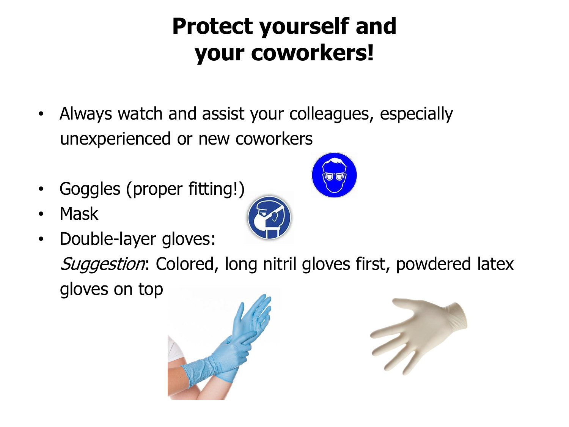# **Protect yourself and your coworkers!**

- Always watch and assist your colleagues, especially unexperienced or new coworkers
- Goggles (proper fitting!)
- Mask
- Double-layer gloves:

Suggestion: Colored, long nitril gloves first, powdered latex gloves on top





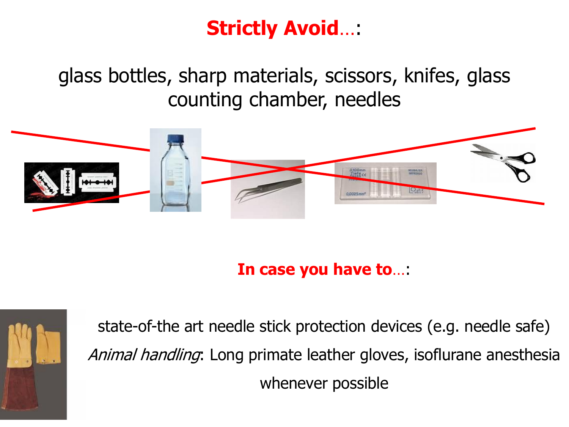### **Strictly Avoid**…:

glass bottles, sharp materials, scissors, knifes, glass counting chamber, needles



**In case you have to**…:



state-of-the art needle stick protection devices (e.g. needle safe) Animal handling: Long primate leather gloves, isoflurane anesthesia whenever possible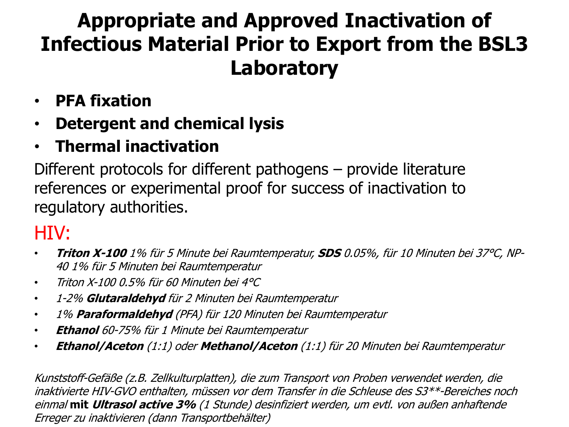## **Appropriate and Approved Inactivation of Infectious Material Prior to Export from the BSL3 Laboratory**

- **PFA fixation**
- **Detergent and chemical lysis**
- **Thermal inactivation**

Different protocols for different pathogens – provide literature references or experimental proof for success of inactivation to regulatory authorities.

#### HIV:

- **Triton X-100** 1% für 5 Minute bei Raumtemperatur, **SDS** 0.05%, für 10 Minuten bei 37°C, NP-40 1% für 5 Minuten bei Raumtemperatur
- Triton X-100 0.5% für 60 Minuten bei 4°C
- 1-2% **Glutaraldehyd** für 2 Minuten bei Raumtemperatur
- 1% **Paraformaldehyd** (PFA) für 120 Minuten bei Raumtemperatur
- **Ethanol** 60-75% für 1 Minute bei Raumtemperatur
- **Ethanol/Aceton** (1:1) oder **Methanol/Aceton** (1:1) für 20 Minuten bei Raumtemperatur

Kunststoff-Gefäße (z.B. Zellkulturplatten), die zum Transport von Proben verwendet werden, die inaktivierte HIV-GVO enthalten, müssen vor dem Transfer in die Schleuse des S3\*\*-Bereiches noch einmal **mit Ultrasol active 3%** (1 Stunde) desinfiziert werden, um evtl. von außen anhaftende Erreger zu inaktivieren (dann Transportbehälter)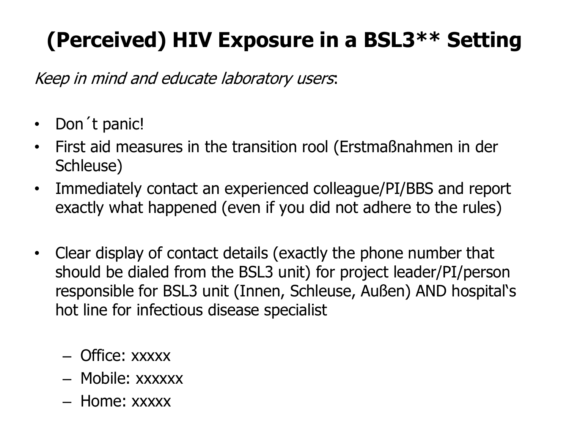# **(Perceived) HIV Exposure in a BSL3\*\* Setting**

Keep in mind and educate laboratory users:

- Don't panic!
- First aid measures in the transition rool (Erstmaßnahmen in der Schleuse)
- Immediately contact an experienced colleague/PI/BBS and report exactly what happened (even if you did not adhere to the rules)
- Clear display of contact details (exactly the phone number that should be dialed from the BSL3 unit) for project leader/PI/person responsible for BSL3 unit (Innen, Schleuse, Außen) AND hospital's hot line for infectious disease specialist
	- Office: xxxxx
	- Mobile: xxxxxx
	- Home: xxxxx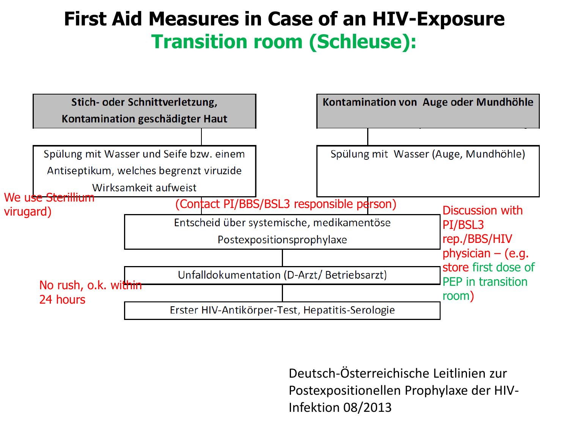#### **First Aid Measures in Case of an HIV-Exposure Transition room (Schleuse):**



Deutsch-Österreichische Leitlinien zur Postexpositionellen Prophylaxe der HIV-Infektion 08/2013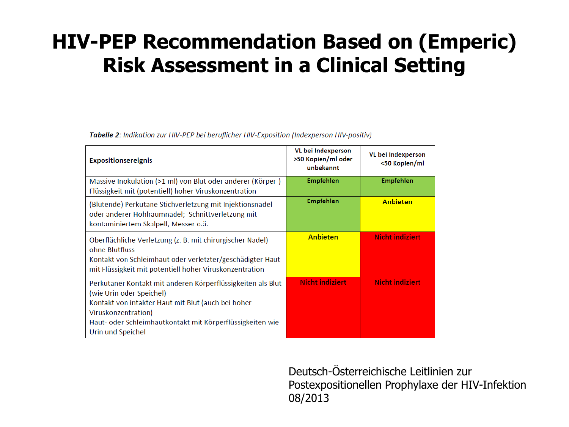### **HIV-PEP Recommendation Based on (Emperic) Risk Assessment in a Clinical Setting**

Tabelle 2: Indikation zur HIV-PEP bei beruflicher HIV-Exposition (Indexperson HIV-positiv)

| <b>Expositionsereignis</b>                                                                                                                                                                                                                             | VL bei Indexperson<br>>50 Kopien/ml oder<br>unbekannt | VL bei Indexperson<br><50 Kopien/ml |
|--------------------------------------------------------------------------------------------------------------------------------------------------------------------------------------------------------------------------------------------------------|-------------------------------------------------------|-------------------------------------|
| Massive Inokulation (>1 ml) von Blut oder anderer (Körper-)<br>Flüssigkeit mit (potentiell) hoher Viruskonzentration                                                                                                                                   | Empfehlen                                             | <b>Empfehlen</b>                    |
| (Blutende) Perkutane Stichverletzung mit Injektionsnadel<br>oder anderer Hohlraumnadel; Schnittverletzung mit<br>kontaminiertem Skalpell, Messer o.ä.                                                                                                  | Empfehlen                                             | <b>Anbieten</b>                     |
| Oberflächliche Verletzung (z. B. mit chirurgischer Nadel)<br>ohne Blutfluss<br>Kontakt von Schleimhaut oder verletzter/geschädigter Haut<br>mit Flüssigkeit mit potentiell hoher Viruskonzentration                                                    | <b>Anbieten</b>                                       | <b>Nicht indiziert</b>              |
| Perkutaner Kontakt mit anderen Körperflüssigkeiten als Blut<br>(wie Urin oder Speichel)<br>Kontakt von intakter Haut mit Blut (auch bei hoher<br>Viruskonzentration)<br>Haut- oder Schleimhautkontakt mit Körperflüssigkeiten wie<br>Urin und Speichel | <b>Nicht indiziert</b>                                | <b>Nicht indiziert</b>              |

Deutsch-Österreichische Leitlinien zur Postexpositionellen Prophylaxe der HIV-Infektion 08/2013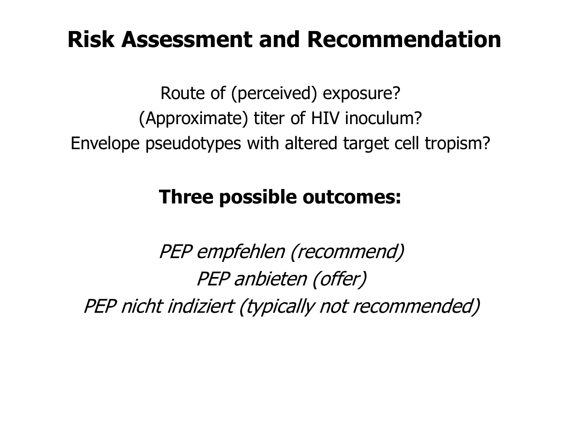## **Risk Assessment and Recommendation**

Route of (perceived) exposure? (Approximate) titer of HIV inoculum? Envelope pseudotypes with altered target cell tropism?

#### **Three possible outcomes:**

PEP empfehlen (recommend) PEP anbieten (offer) PEP nicht indiziert (typically not recommended)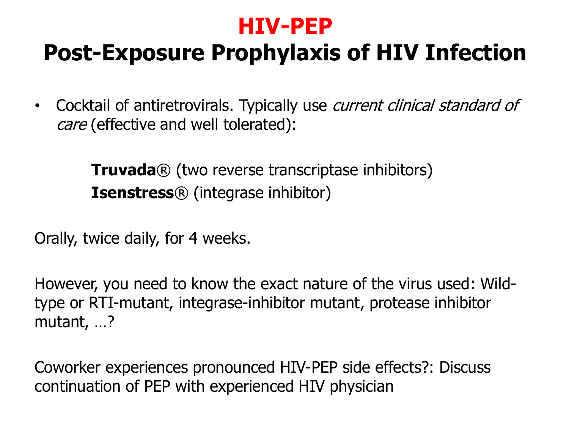### **HIV-PEP**

# **Post-Exposure Prophylaxis of HIV Infection**

• Cocktail of antiretrovirals. Typically use *current clinical standard of* care (effective and well tolerated):

> **Truvada**® (two reverse transcriptase inhibitors) **Isenstress**® (integrase inhibitor)

Orally, twice daily, for 4 weeks.

However, you need to know the exact nature of the virus used: Wildtype or RTI-mutant, integrase-inhibitor mutant, protease inhibitor mutant, …?

Coworker experiences pronounced HIV-PEP side effects?: Discuss continuation of PEP with experienced HIV physician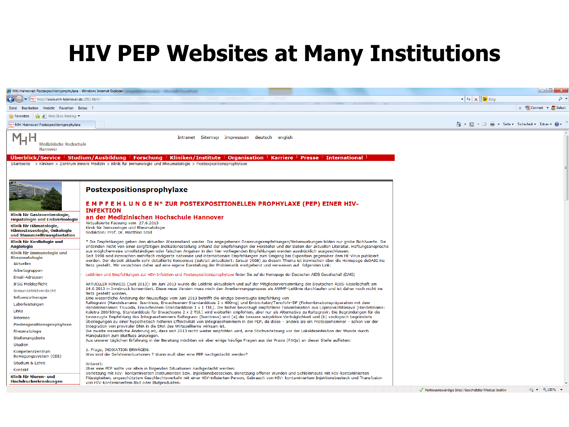## **HIV PEP Websites at Many Institutions**

| MH-Hannover: Postexpositionsprophylaxe - Windows Internet Explorer    |                                                                                                                                                                                                                                                                                                                 |                                                                                             |
|-----------------------------------------------------------------------|-----------------------------------------------------------------------------------------------------------------------------------------------------------------------------------------------------------------------------------------------------------------------------------------------------------------|---------------------------------------------------------------------------------------------|
| M4H http://www.mh-hannover.de/2951.html                               |                                                                                                                                                                                                                                                                                                                 | $\bullet$ $\bullet$ $\times$ $\bullet$ Bing                                                 |
| Datei Bearbeiten Ansicht Favoriten Extras ?                           |                                                                                                                                                                                                                                                                                                                 | $\times$ Te Convert $\times$ <b>F</b> e Select                                              |
| <b>P</b> Favoriten $\left \frac{d}{d\theta}\right $ Web Slice-Katalog |                                                                                                                                                                                                                                                                                                                 |                                                                                             |
| 14H MH-Hannover: Postexpositionsprophylaxe                            |                                                                                                                                                                                                                                                                                                                 | ▼ □ ● ▼ Seite ▼ Sicherheit ▼ Extras ▼ ●<br>A - 5                                            |
|                                                                       |                                                                                                                                                                                                                                                                                                                 |                                                                                             |
| Medizinische Hochschule                                               | Intranet Sitemap Impressum deutsch english                                                                                                                                                                                                                                                                      |                                                                                             |
| Hannover                                                              |                                                                                                                                                                                                                                                                                                                 |                                                                                             |
|                                                                       | Uberblick/Service   Studium/Ausbildung   Forschung   Kliniken/Institute   Organisation   Karriere   Presse   International                                                                                                                                                                                      |                                                                                             |
|                                                                       | Startseite > Kliniken > Zentrum Innere Medizin > Klinik für Immunologie und Rheumatologie > Postexpositionsprophylaxe                                                                                                                                                                                           |                                                                                             |
|                                                                       |                                                                                                                                                                                                                                                                                                                 |                                                                                             |
|                                                                       |                                                                                                                                                                                                                                                                                                                 |                                                                                             |
|                                                                       |                                                                                                                                                                                                                                                                                                                 |                                                                                             |
|                                                                       | Postexpositionsprophylaxe                                                                                                                                                                                                                                                                                       |                                                                                             |
|                                                                       | EMPFEHLUNGEN* ZUR POSTEXPOSITIONELLEN PROPHYLAXE (PEP) EINER HIV-                                                                                                                                                                                                                                               |                                                                                             |
|                                                                       | <b>INFEKTION</b>                                                                                                                                                                                                                                                                                                |                                                                                             |
| Klinik für Gastroenterologie,                                         | an der Medizinischen Hochschule Hannover                                                                                                                                                                                                                                                                        |                                                                                             |
| <b>Hepatologie und Endokrinologie</b><br>Klinik für Hämatologie,      | Aktualisierte Fassung vom 27.6.2013                                                                                                                                                                                                                                                                             |                                                                                             |
| Hämostaseologie, Onkologie                                            | Klinik für Immunologie und Rheumatologie<br>Redaktion: Prof. Dr. Matthias Stoll                                                                                                                                                                                                                                 |                                                                                             |
| und Stammzelltransplantation                                          |                                                                                                                                                                                                                                                                                                                 |                                                                                             |
| Klinik für Kardiologie und<br><b>Angiologie</b>                       | * Die Empfehlungen geben den aktuellen Wissenstand wieder. Die angegebenen Dosierungsempfehlungen/Nebenwirkungen bilden nur grobe Richtwerte. Sie<br>entbinden nicht von einer sorgfältigen Indikationsstellung anhand der Empfehlungen der Hersteller und der Daten der aktuellen Literatur. Haftungsansprüche |                                                                                             |
| Klinik für Immunologie und                                            | aus möglicherweise unvollständigen oder falschen Angaben in den hier vorliegenden Empfehlungen werden ausdrücklich ausgeschlossen.                                                                                                                                                                              |                                                                                             |
| Rheumatologie                                                         | Seit 1998 sind inzwischen mehrfach redigierte nationale und internationale Empfehlungen zum Umgang bei Exposition gegenüber dem HI-Virus publiziert<br>worden. Der derzeit aktuelle sehr detaillierte Konsensus (zuletzt aktualisiert: Januar 2008) zu diesem Thema ist inzwischen über die Homepage deDAIG ins |                                                                                             |
| <b>Aktuelles</b>                                                      | Netz gestellt. Wir verzichten daher auf eine eigene Darstellung der Problematik weitgehend und verweisen auf folgenden Link:                                                                                                                                                                                    |                                                                                             |
| Arbeitsgruppen<br>Email-Adressen                                      | Leitlinien und Empfehlungen zur HIV-Infektion und Postexpositionsprophylaxe finden Sie auf der Homepage der Deutschen AIDS Gesellschaft (DAIG)                                                                                                                                                                  |                                                                                             |
| <b>IFSG Meldepflicht</b>                                              | AKTUELLER HINWEIS (Juni 2013): Im Juni 2013 wurde die Leitlinie aktualisiert und auf der Mitgliederversammlung der Deutschen AIDS-Gesellschaft am                                                                                                                                                               |                                                                                             |
| Immundefektverdacht                                                   | 14.6.2013 in Innsbruck konsentiert. Diese neue Version muss noch den Anerkennungsprozess als AWMF-Leitlinie durchlaufen und ist daher noch nicht ins                                                                                                                                                            |                                                                                             |
| Influenzatherapie                                                     | Netz gestellt worden.<br>Eine wesentliche Änderung der Neuauflage vom Juni 2013 betrifft die einzige bevorzugte Empfehlung von                                                                                                                                                                                  |                                                                                             |
| Laborleistungen                                                       | Raltegravir (Handelsaname: Isentress, Erwachsenen-Standarddosis 2 x 400mg) und Emtricitabin/Tenofofir-DF (Fixkombinationspräparation mit dem                                                                                                                                                                    |                                                                                             |
| Links                                                                 | Handelsnsnamen Truvada, Erwachsenen-Standarddosis 1 x 1 Tbl.). Die bisher bevorzugt empfohlene Fixkombination aus Lopinavir/Ritonavir (Handelsname:<br>Kaletra 200/50mg, Standarddosis für Erwachsene 2 x 2 Tbl.) wird weiterhin empfohlen, aber nur als Alternative zu Raltegravir. Die Begründungen für die   |                                                                                             |
| <b>Internes</b>                                                       | bevorzugte Empfehlung des Integrasehemmers Raltegravir (Isentress) sind (a) die bessere subjektive Verträglichkeit und (b) virologisch begründete<br>Überlegungen zu einer hypothetisch höheren Effektivität von Integrasehemmern in der PEP, da diese - anders als ein Proteasehemmer - schon vor der          |                                                                                             |
| Postexpositionsprophylaxe                                             | Integration von proviraler DNA in die DNA des Wirtszellkerns wirksam ist.                                                                                                                                                                                                                                       |                                                                                             |
| Rheumatologie                                                         | Die zweite wesentliche Änderung ist, dass seit 2013 nicht weiter empfohlen wird, eine Stichverletzung vor der Lokaldesinfektion der Wunde durch<br>Manipulation zum Blutfluss anzuregen.                                                                                                                        |                                                                                             |
| Stellenangebote                                                       | Aus unserer täglichen Erfahrung in der Beratung möchten wir aber einige häufige Fragen aus der Praxis (FAQs) an dieser Stelle auflisten:                                                                                                                                                                        |                                                                                             |
| Studien                                                               | 1. Frage, INDIKATION ERWÄGEN:                                                                                                                                                                                                                                                                                   |                                                                                             |
| Kompetenzzentrum<br>Bewegungssystem (CEB)                             | Was sind die Gefahrensituationen ? Wann muß über eine PEP nachgedacht werden?                                                                                                                                                                                                                                   |                                                                                             |
| Studium & Lehre                                                       | Antwort:                                                                                                                                                                                                                                                                                                        |                                                                                             |
| Kontakt                                                               | Über eine PEP sollte vor allem in folgenden Situationen nachgedacht werden:                                                                                                                                                                                                                                     |                                                                                             |
| Klinik für Nieren- und                                                | Verletzung mit HIV- kontaminierten Instrumenten bzw. Injektionsbestecken, Benetzung offener Wunden und Schleimhäute mit HIV-kontaminierten<br>Flüssigkeiten, ungeschütztem Geschlechtsverkehr mit einer HIV-infizierten Person, Gebrauch von HIV- kontaminiertem Injektionsbesteck und Transfusion              |                                                                                             |
| Hochdruckerkrankungen                                                 | von HIV-kontaminiertem Blut oder Blutprodukten.                                                                                                                                                                                                                                                                 |                                                                                             |
|                                                                       |                                                                                                                                                                                                                                                                                                                 | $\frac{1}{2}$ v $\frac{100\%}{2}$ v<br>Vertrauenswürdige Sites   Geschützter Modus: Inaktiv |